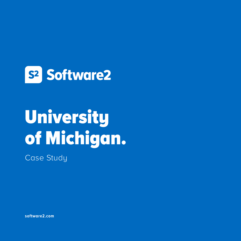

## University of Michigan.

Case Study

**software2.com**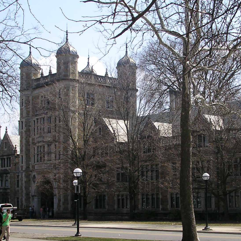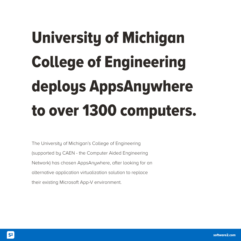# University of Michigan College of Engineering deploys AppsAnywhere to over 1300 computers.

The University of Michigan's College of Engineering (supported by CAEN - the Computer Aided Engineering Network) has chosen AppsAnywhere, after looking for an alternative application virtualization solution to replace their existing Microsoft App-V environment.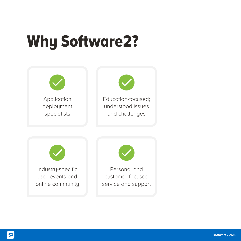#### Why Software2?

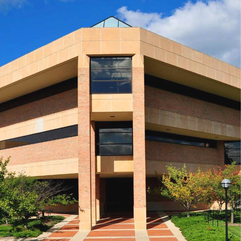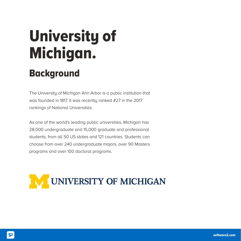#### University of Michigan.

#### **Background**

The University of Michigan Ann Arbor is a public institution that was founded in 1817. It was recently ranked #27 in the 2017 rankings of National Universities.

As one of the world's leading public universities, Michigan has 28,000 undergraduate and 15,000 graduate and professional students, from all 50 US states and 121 countries. Students can choose from over 240 undergraduate majors, over 90 Masters programs and over 100 doctoral programs.

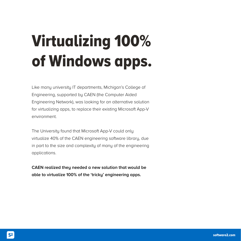### Virtualizing 100% of Windows apps.

Like many university IT departments, Michigan's College of Engineering, supported by CAEN (the Computer Aided Engineering Network), was looking for an alternative solution for virtualizing apps, to replace their existing Microsoft App-V environment.

The University found that Microsoft App-V could only virtualize 40% of the CAEN engineering software library, due in part to the size and complexity of many of the engineering applications.

**CAEN realized they needed a new solution that would be able to virtualize 100% of the 'tricky' engineering apps.**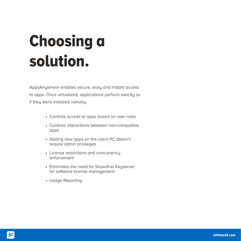### Choosing a solution.

AppsAnywhere enables secure, easy and instant access to apps. Once virtualized, applications perform exactly as if they were installed natively.

- Controls access to apps based on user roles
- Controls interactions between non-compatible apps
- Adding new apps on the client PC doesn't require admin privileges
- License restrictions and concurrency enforcement
- Eliminates the need for Sassafras Keyserver for software license management
- Usage Reporting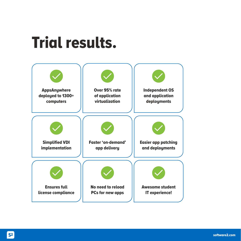#### Trial results.

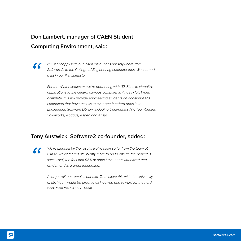#### **Don Lambert, manager of CAEN Student Computing Environment, said:**

*"*

*I'm very happy with our initial roll out of AppsAnywhere from*  Software2, to the College of Engineering computer labs. We learned *a lot in our first semester.*

*For the Winter semester, we're partnering with ITS Sites to virtualize applications to the central campus computer in Angell Hall. When complete, this will provide engineering students an additional 170 computers that have access to over one hundred apps in the Engineering Software Library, including Unigraphics NX, TeamCenter, Solidworks, Abaqus, Aspen and Ansys.*

#### **Tony Austwick, Software2 co-founder, added:**

*"*

*We're pleased by the results we've seen so far from the team at CAEN. Whilst there's still plenty more to do to ensure the project is successful, the fact that 95% of apps have been virtualized and on-demand is a great foundation.*

*A larger roll-out remains our aim. To achieve this with the University of Michigan would be great to all involved and reward for the hard work from the CAEN IT team.*